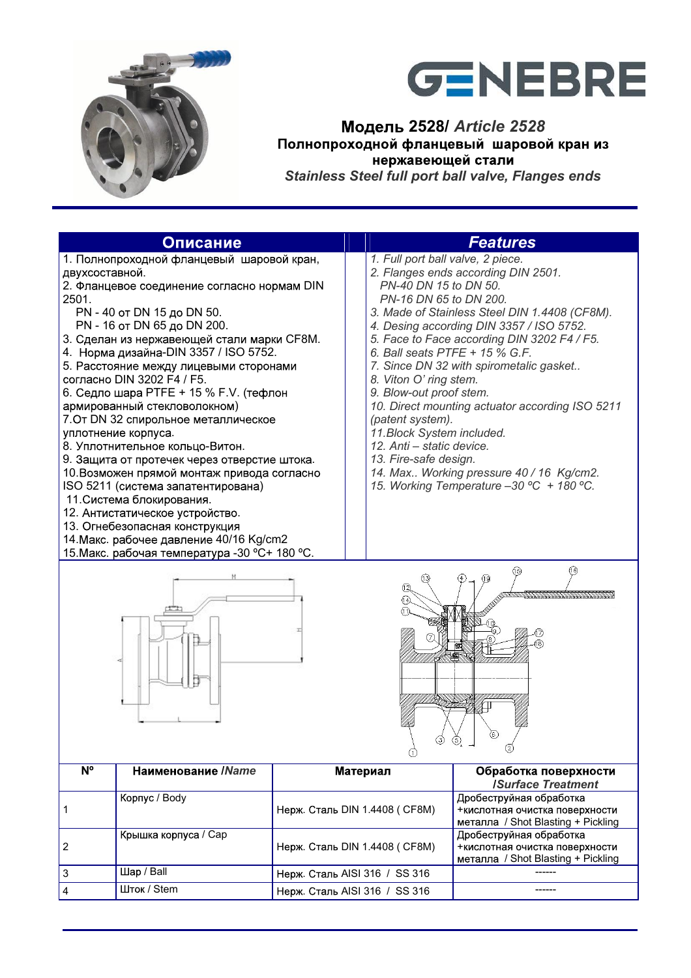



**2528/** *Article 2528*   *Stainless Steel full port ball valve, Flanges ends* 

|                         | Описание                                                                                                                                                                                                                                                                                                                                                                                                                                                                                                                                                                                                                                                                                                                                                                                                                             | <b>Features</b>               |                                                                                                                                                                                                                                                                                          |                                                                                                                                                                                                                                                                                                                                                                                                        |  |  |
|-------------------------|--------------------------------------------------------------------------------------------------------------------------------------------------------------------------------------------------------------------------------------------------------------------------------------------------------------------------------------------------------------------------------------------------------------------------------------------------------------------------------------------------------------------------------------------------------------------------------------------------------------------------------------------------------------------------------------------------------------------------------------------------------------------------------------------------------------------------------------|-------------------------------|------------------------------------------------------------------------------------------------------------------------------------------------------------------------------------------------------------------------------------------------------------------------------------------|--------------------------------------------------------------------------------------------------------------------------------------------------------------------------------------------------------------------------------------------------------------------------------------------------------------------------------------------------------------------------------------------------------|--|--|
| двухсоставной.<br>2501. | 1. Полнопроходной фланцевый шаровой кран,<br>2. Фланцевое соединение согласно нормам DIN<br>PN - 40 от DN 15 до DN 50.<br>PN - 16 от DN 65 до DN 200.<br>3. Сделан из нержавеющей стали марки СF8М.<br>4. Норма дизайна-DIN 3357 / ISO 5752.<br>5. Расстояние между лицевыми сторонами<br>согласно DIN 3202 F4 / F5.<br>6. Седло шара РТFE + 15 % F.V. (тефлон<br>армированный стекловолокном)<br>7. От DN 32 спирольное металлическое<br>уплотнение корпуса.<br>8. Уплотнительное кольцо-Витон.<br>9. Защита от протечек через отверстие штока.<br>10. Возможен прямой монтаж привода согласно<br>ISO 5211 (система запатентирована)<br>11. Система блокирования.<br>12. Антистатическое устройство.<br>13. Огнебезопасная конструкция<br>14. Макс. рабочее давление 40/16 Kg/cm2<br>15. Макс. рабочая температура - 30 °C+ 180 °C. |                               | 1. Full port ball valve, 2 piece.<br>PN-40 DN 15 to DN 50.<br>PN-16 DN 65 to DN 200.<br>6. Ball seats PTFE + 15 % G.F.<br>8. Viton O' ring stem.<br>9. Blow-out proof stem.<br>(patent system).<br>11. Block System included.<br>12. Anti - static device.<br>13. Fire-safe design.<br>₫ | 2. Flanges ends according DIN 2501.<br>3. Made of Stainless Steel DIN 1.4408 (CF8M).<br>4. Desing according DIN 3357 / ISO 5752.<br>5. Face to Face according DIN 3202 F4 / F5.<br>7. Since DN 32 with spirometalic gasket<br>10. Direct mounting actuator according ISO 5211<br>14. Max Working pressure 40 / 16 Kg/cm2.<br>15. Working Temperature -30 °C + 180 °C.<br>(16)<br>(15)<br>$\circled{2}$ |  |  |
| N <sup>o</sup>          | Наименование / Name                                                                                                                                                                                                                                                                                                                                                                                                                                                                                                                                                                                                                                                                                                                                                                                                                  |                               | Материал                                                                                                                                                                                                                                                                                 | Обработка поверхности<br><b>ISurface Treatment</b>                                                                                                                                                                                                                                                                                                                                                     |  |  |
| 1                       | Корпус / Body                                                                                                                                                                                                                                                                                                                                                                                                                                                                                                                                                                                                                                                                                                                                                                                                                        | Нерж. Сталь DIN 1.4408 (СF8M) |                                                                                                                                                                                                                                                                                          | Дробеструйная обработка<br>+кислотная очистка поверхности<br>металла / Shot Blasting + Pickling                                                                                                                                                                                                                                                                                                        |  |  |
| 2                       | Крышка корпуса / Сар                                                                                                                                                                                                                                                                                                                                                                                                                                                                                                                                                                                                                                                                                                                                                                                                                 | Нерж. Сталь DIN 1.4408 (СF8M) |                                                                                                                                                                                                                                                                                          | Дробеструйная обработка<br>+кислотная очистка поверхности<br>металла / Shot Blasting + Pickling                                                                                                                                                                                                                                                                                                        |  |  |
| 3                       | Шар / Ball                                                                                                                                                                                                                                                                                                                                                                                                                                                                                                                                                                                                                                                                                                                                                                                                                           | Нерж. Сталь AISI 316 / SS 316 |                                                                                                                                                                                                                                                                                          |                                                                                                                                                                                                                                                                                                                                                                                                        |  |  |
| 4                       | Шток / Stem                                                                                                                                                                                                                                                                                                                                                                                                                                                                                                                                                                                                                                                                                                                                                                                                                          | Нерж. Сталь AISI 316 / SS 316 |                                                                                                                                                                                                                                                                                          | ------                                                                                                                                                                                                                                                                                                                                                                                                 |  |  |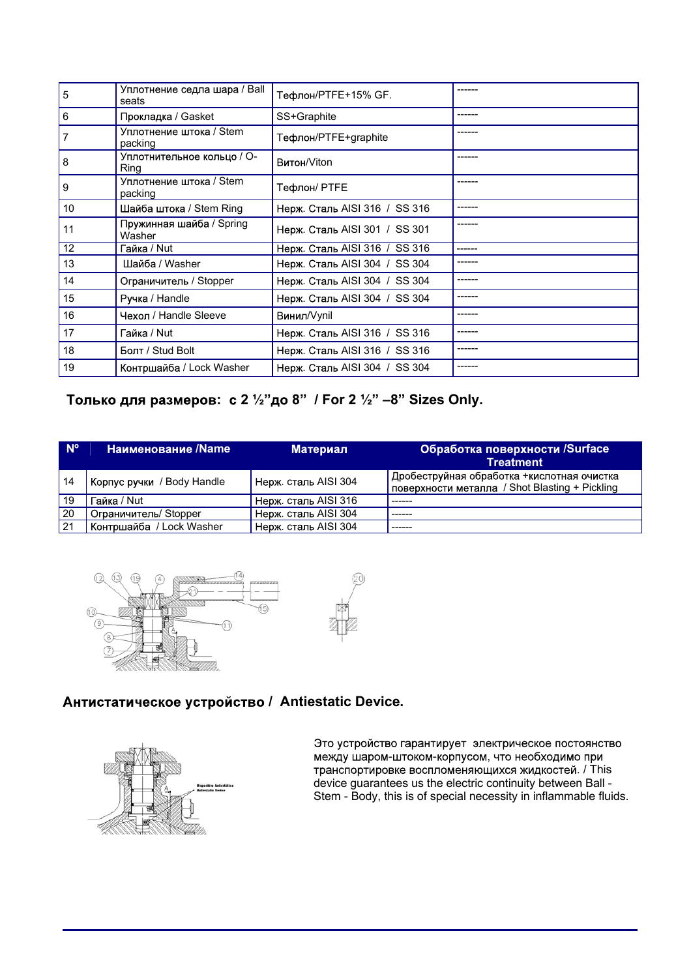| $\overline{5}$ | Уплотнение седла шара / Ball<br>seats | Тефлон/PTFE+15% GF.           |         |
|----------------|---------------------------------------|-------------------------------|---------|
| l 6            | Прокладка / Gasket                    | SS+Graphite                   | ------  |
| 7              | Уплотнение штока / Stem<br>packing    | Тефлон/PTFE+graphite          |         |
| l 8            | Уплотнительное кольцо / О-<br>Ring    | Витон/Viton                   |         |
| $\overline{9}$ | Уплотнение штока / Stem<br>packing    | Тефлон/ PTFE                  | ------  |
| 10             | Шайба штока / Stem Ring               | Нерж. Сталь AISI 316 / SS 316 |         |
| 11             | Пружинная шайба / Spring<br>Washer    | Нерж. Сталь AISI 301 / SS 301 |         |
| 12             | Гайка / Nut                           | Нерж. Сталь AISI 316 / SS 316 | ------- |
| 13             | Шайба / Washer                        | Нерж. Сталь AISI 304 / SS 304 |         |
| 14             | Ограничитель / Stopper                | Нерж. Сталь AISI 304 / SS 304 |         |
| 15             | Ручка / Handle                        | Нерж. Сталь AISI 304 / SS 304 |         |
| 16             | Чехол / Handle Sleeve                 | Винил/Vynil                   |         |
| 17             | Гайка / Nut                           | Нерж. Сталь AISI 316 / SS 316 |         |
| 18             | Болт / Stud Bolt                      | Нерж. Сталь AISI 316 / SS 316 |         |
| 19             | Контршайба / Lock Washer              | Нерж. Сталь AISI 304 / SS 304 |         |

## **: 2 ½ 8 / For 2 ½ 8 Sizes Only.**

| N <sup>o</sup> | Наименование /Name         | <b>Материал</b>      | Обработка поверхности /Surface<br><b>Treatment</b>                                            |
|----------------|----------------------------|----------------------|-----------------------------------------------------------------------------------------------|
| 14             | Корпус ручки / Body Handle | Нерж. сталь AISI 304 | Дробеструйная обработка + кислотная очистка<br>поверхности металла / Shot Blasting + Pickling |
| i 19           | <sup>-</sup> айка / Nut    | Нерж. сталь AISI 316 |                                                                                               |
| 20             | Ограничитель/ Stopper      | Hepж. сталь AISI 304 |                                                                                               |
| l 21           | Контршайба / Lock Washer   | Нерж. сталь AISI 304 |                                                                                               |





## **Антистатическое устройство / Antiestatic Device.**



Это устройство гарантирует электрическое постоянство между шаром-штоком-корпусом, что необходимо при . / This device guarantees us the electric continuity between Ball - Stem - Body, this is of special necessity in inflammable fluids.